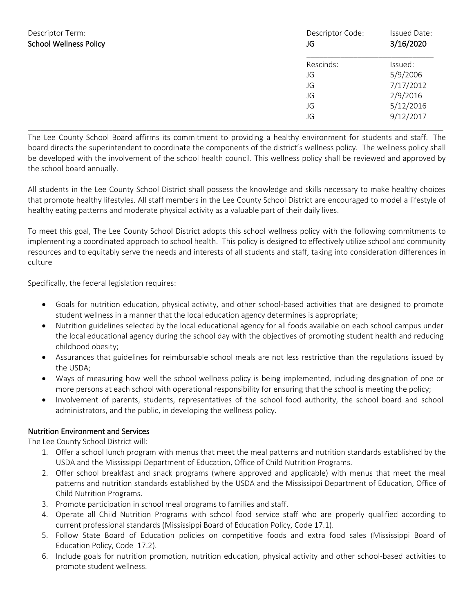| Policy | Descriptor Code:<br>JG | Issued Date:<br>3/16/2020 |
|--------|------------------------|---------------------------|
|        | Rescinds:              | Issued:                   |
|        | JG                     | 5/9/2006                  |
|        | JG                     | 7/17/2012                 |
|        | JG                     | 2/9/2016                  |
|        | JG                     | 5/12/2016                 |
|        | JG                     | 9/12/2017                 |

The Lee County School Board affirms its commitment to providing a healthy environment for students and staff. The board directs the superintendent to coordinate the components of the district's wellness policy. The wellness policy shall be developed with the involvement of the school health council. This wellness policy shall be reviewed and approved by the school board annually.

\_\_\_\_\_\_\_\_\_\_\_\_\_\_\_\_\_\_\_\_\_\_\_\_\_\_\_\_\_\_\_\_\_\_\_\_\_\_\_\_\_\_\_\_\_\_\_\_\_\_\_\_\_\_\_\_\_\_\_\_\_\_\_\_\_\_\_\_\_\_\_\_\_\_\_\_\_\_\_\_\_\_\_\_\_\_\_\_\_\_\_\_\_\_\_\_\_\_

All students in the Lee County School District shall possess the knowledge and skills necessary to make healthy choices that promote healthy lifestyles. All staff members in the Lee County School District are encouraged to model a lifestyle of healthy eating patterns and moderate physical activity as a valuable part of their daily lives.

To meet this goal, The Lee County School District adopts this school wellness policy with the following commitments to implementing a coordinated approach to school health. This policy is designed to effectively utilize school and community resources and to equitably serve the needs and interests of all students and staff, taking into consideration differences in culture

Specifically, the federal legislation requires:

- Goals for nutrition education, physical activity, and other school-based activities that are designed to promote student wellness in a manner that the local education agency determines is appropriate;
- Nutrition guidelines selected by the local educational agency for all foods available on each school campus under the local educational agency during the school day with the objectives of promoting student health and reducing childhood obesity;
- Assurances that guidelines for reimbursable school meals are not less restrictive than the regulations issued by the USDA;
- Ways of measuring how well the school wellness policy is being implemented, including designation of one or more persons at each school with operational responsibility for ensuring that the school is meeting the policy;
- Involvement of parents, students, representatives of the school food authority, the school board and school administrators, and the public, in developing the wellness policy.

### Nutrition Environment and Services

- 1. Offer a school lunch program with menus that meet the meal patterns and nutrition standards established by the USDA and the Mississippi Department of Education, Office of Child Nutrition Programs.
- 2. Offer school breakfast and snack programs (where approved and applicable) with menus that meet the meal patterns and nutrition standards established by the USDA and the Mississippi Department of Education, Office of Child Nutrition Programs.
- 3. Promote participation in school meal programs to families and staff.
- 4. Operate all Child Nutrition Programs with school food service staff who are properly qualified according to current professional standards (Mississippi Board of Education Policy, Code 17.1).
- 5. Follow State Board of Education policies on competitive foods and extra food sales (Mississippi Board of Education Policy, Code 17.2).
- 6. Include goals for nutrition promotion, nutrition education, physical activity and other school-based activities to promote student wellness.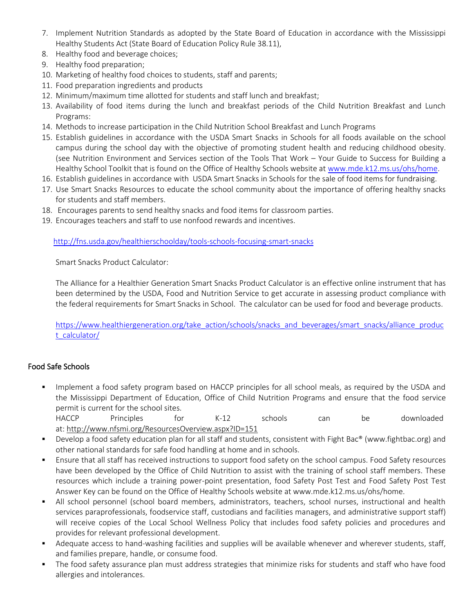- 7. Implement Nutrition Standards as adopted by the State Board of Education in accordance with the Mississippi Healthy Students Act (State Board of Education Policy Rule 38.11),
- 8. Healthy food and beverage choices;
- 9. Healthy food preparation;
- 10. Marketing of healthy food choices to students, staff and parents;
- 11. Food preparation ingredients and products
- 12. Minimum/maximum time allotted for students and staff lunch and breakfast;
- 13. Availability of food items during the lunch and breakfast periods of the Child Nutrition Breakfast and Lunch Programs:
- 14. Methods to increase participation in the Child Nutrition School Breakfast and Lunch Programs
- 15. Establish guidelines in accordance with the USDA Smart Snacks in Schools for all foods available on the school campus during the school day with the objective of promoting student health and reducing childhood obesity. (see Nutrition Environment and Services section of the Tools That Work – Your Guide to Success for Building a Healthy School Toolkit that is found on the Office of Healthy Schools website a[t www.mde.k12.ms.us/ohs/home.](http://www.mde.k12.ms.us/ohs/home)
- 16. Establish guidelines in accordance with USDA Smart Snacks in Schools for the sale of food items for fundraising.
- 17. Use Smart Snacks Resources to educate the school community about the importance of offering healthy snacks for students and staff members.
- 18. Encourages parents to send healthy snacks and food items for classroom parties.
- 19. Encourages teachers and staff to use nonfood rewards and incentives.

<http://fns.usda.gov/healthierschoolday/tools-schools-focusing-smart-snacks>

Smart Snacks Product Calculator:

The Alliance for a Healthier Generation Smart Snacks Product Calculator is an effective online instrument that has been determined by the USDA, Food and Nutrition Service to get accurate in assessing product compliance with the federal requirements for Smart Snacks in School. The calculator can be used for food and beverage products.

[https://www.healthiergeneration.org/take\\_action/schools/snacks\\_and\\_beverages/smart\\_snacks/alliance\\_produc](https://www.healthiergeneration.org/take_action/schools/snacks_and_beverages/smart_snacks/alliance_product_calculator/) [t\\_calculator/](https://www.healthiergeneration.org/take_action/schools/snacks_and_beverages/smart_snacks/alliance_product_calculator/)

# Food Safe Schools

Implement a food safety program based on HACCP principles for all school meals, as required by the USDA and the Mississippi Department of Education, Office of Child Nutrition Programs and ensure that the food service permit is current for the school sites.

HACCP Principles for K-12 schools can be downloaded at: <http://www.nfsmi.org/ResourcesOverview.aspx?ID=151>

- Develop a food safety education plan for all staff and students, consistent with Fight Bac<sup>®</sup> (www.fightbac.org) and other national standards for safe food handling at home and in schools.
- Ensure that all staff has received instructions to support food safety on the school campus. Food Safety resources have been developed by the Office of Child Nutrition to assist with the training of school staff members. These resources which include a training power-point presentation, food Safety Post Test and Food Safety Post Test Answer Key can be found on the Office of Healthy Schools website at www.mde.k12.ms.us/ohs/home.
- All school personnel (school board members, administrators, teachers, school nurses, instructional and health services paraprofessionals, foodservice staff, custodians and facilities managers, and administrative support staff) will receive copies of the Local School Wellness Policy that includes food safety policies and procedures and provides for relevant professional development.
- Adequate access to hand-washing facilities and supplies will be available whenever and wherever students, staff, and families prepare, handle, or consume food.
- The food safety assurance plan must address strategies that minimize risks for students and staff who have food allergies and intolerances.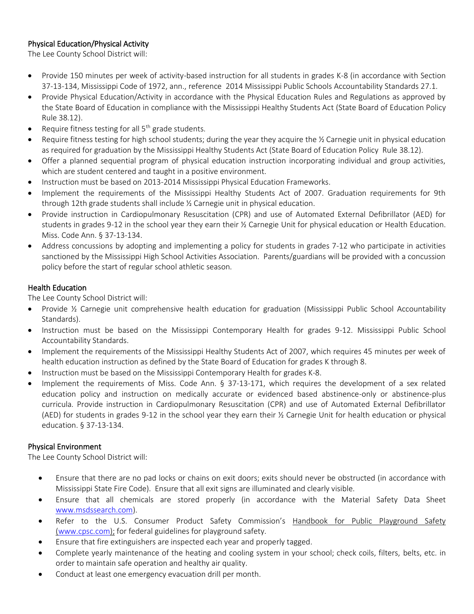## Physical Education/Physical Activity

The Lee County School District will:

- Provide 150 minutes per week of activity-based instruction for all students in grades K-8 (in accordance with Section 37-13-134, Mississippi Code of 1972, ann., reference 2014 Mississippi Public Schools Accountability Standards 27.1.
- Provide Physical Education/Activity in accordance with the Physical Education Rules and Regulations as approved by the State Board of Education in compliance with the Mississippi Healthy Students Act (State Board of Education Policy Rule 38.12).
- Require fitness testing for all  $5<sup>th</sup>$  grade students.
- Require fitness testing for high school students; during the year they acquire the % Carnegie unit in physical education as required for graduation by the Mississippi Healthy Students Act (State Board of Education Policy Rule 38.12).
- Offer a planned sequential program of physical education instruction incorporating individual and group activities, which are student centered and taught in a positive environment.
- Instruction must be based on 2013-2014 Mississippi Physical Education Frameworks.
- Implement the requirements of the Mississippi Healthy Students Act of 2007. Graduation requirements for 9th through 12th grade students shall include ½ Carnegie unit in physical education.
- Provide instruction in Cardiopulmonary Resuscitation (CPR) and use of Automated External Defibrillator (AED) for students in grades 9-12 in the school year they earn their ½ Carnegie Unit for physical education or Health Education. Miss. Code Ann. § 37-13-134.
- Address concussions by adopting and implementing a policy for students in grades 7-12 who participate in activities sanctioned by the Mississippi High School Activities Association. Parents/guardians will be provided with a concussion policy before the start of regular school athletic season.

## Health Education

The Lee County School District will:

- Provide ½ Carnegie unit comprehensive health education for graduation (Mississippi Public School Accountability Standards).
- Instruction must be based on the Mississippi Contemporary Health for grades 9-12. Mississippi Public School Accountability Standards.
- Implement the requirements of the Mississippi Healthy Students Act of 2007, which requires 45 minutes per week of health education instruction as defined by the State Board of Education for grades K through 8.
- Instruction must be based on the Mississippi Contemporary Health for grades K-8.
- Implement the requirements of Miss. Code Ann. § 37-13-171, which requires the development of a sex related education policy and instruction on medically accurate or evidenced based abstinence-only or abstinence-plus curricula. Provide instruction in Cardiopulmonary Resuscitation (CPR) and use of Automated External Defibrillator (AED) for students in grades 9-12 in the school year they earn their ½ Carnegie Unit for health education or physical education. § 37-13-134.

### Physical Environment

- Ensure that there are no pad locks or chains on exit doors; exits should never be obstructed (in accordance with Mississippi State Fire Code). Ensure that all exit signs are illuminated and clearly visible.
- Ensure that all chemicals are stored properly (in accordance with the Material Safety Data Sheet [www.msdssearch.com\)](http://www.msdssearch.com/).
- Refer to the U.S. Consumer Product Safety Commission's Handbook for Public Playground Safety [\(www.cpsc.com\)](http://www.cpsc.com/); for federal guidelines for playground safety.
- Ensure that fire extinguishers are inspected each year and properly tagged.
- Complete yearly maintenance of the heating and cooling system in your school; check coils, filters, belts, etc. in order to maintain safe operation and healthy air quality.
- Conduct at least one emergency evacuation drill per month.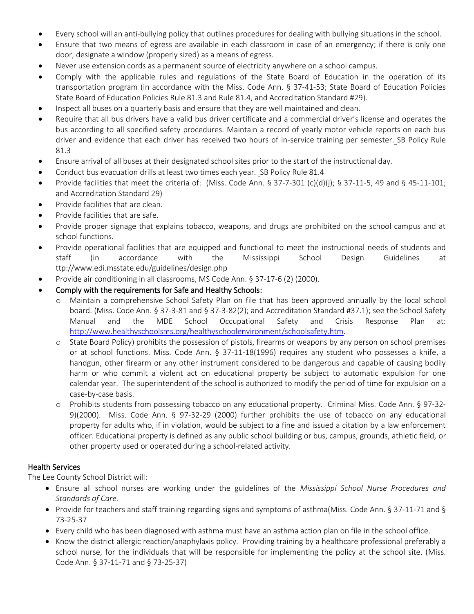- Every school will an anti-bullying policy that outlines procedures for dealing with bullying situations in the school.
- Ensure that two means of egress are available in each classroom in case of an emergency; if there is only one door, designate a window (properly sized) as a means of egress.
- Never use extension cords as a permanent source of electricity anywhere on a school campus.
- Comply with the applicable rules and regulations of the State Board of Education in the operation of its transportation program (in accordance with the Miss. Code Ann. § 37-41-53; State Board of Education Policies State Board of Education Policies Rule 81.3 and Rule 81.4, and Accreditation Standard #29).
- Inspect all buses on a quarterly basis and ensure that they are well maintained and clean.
- Require that all bus drivers have a valid bus driver certificate and a commercial driver's license and operates the bus according to all specified safety procedures. Maintain a record of yearly motor vehicle reports on each bus driver and evidence that each driver has received two hours of in-service training per semester. SB Policy Rule 81.3
- Ensure arrival of all buses at their designated school sites prior to the start of the instructional day.
- Conduct bus evacuation drills at least two times each year. SB Policy Rule 81.4
- Provide facilities that meet the criteria of: (Miss. Code Ann. § 37-7-301 (c)(d)(j); § 37-11-5, 49 and § 45-11-101; and Accreditation Standard 29)
- Provide facilities that are clean.
- Provide facilities that are safe.
- Provide proper signage that explains tobacco, weapons, and drugs are prohibited on the school campus and at school functions.
- Provide operational facilities that are equipped and functional to meet the instructional needs of students and staff (in accordance with the Mississippi School Design Guidelines at ttp://www.edi.msstate.edu/guidelines/design.php
- Provide air conditioning in all classrooms, MS Code Ann. § 37-17-6 (2) (2000).
- Comply with the requirements for Safe and Healthy Schools:
	- o Maintain a comprehensive School Safety Plan on file that has been approved annually by the local school board. (Miss. Code Ann. § 37-3-81 and § 37-3-82(2); and Accreditation Standard #37.1); see the School Safety Manual and the MDE School Occupational Safety and Crisis Response Plan at: [http://www.healthyschoolsms.org/healthyschoolenvironment/schoolsafety.htm.](http://www.healthyschoolsms.org/healthyschoolenvironment/schoolsafety.htm)
	- o State Board Policy) prohibits the possession of pistols, firearms or weapons by any person on school premises or at school functions. Miss. Code Ann. § 37-11-18(1996) requires any student who possesses a knife, a handgun, other firearm or any other instrument considered to be dangerous and capable of causing bodily harm or who commit a violent act on educational property be subject to automatic expulsion for one calendar year. The superintendent of the school is authorized to modify the period of time for expulsion on a case-by-case basis.
	- o Prohibits students from possessing tobacco on any educational property. Criminal Miss. Code Ann. § 97-32- 9)(2000). Miss. Code Ann. § 97-32-29 (2000) further prohibits the use of tobacco on any educational property for adults who, if in violation, would be subject to a fine and issued a citation by a law enforcement officer. Educational property is defined as any public school building or bus, campus, grounds, athletic field, or other property used or operated during a school-related activity.

#### Health Services

- Ensure all school nurses are working under the guidelines of the *Mississippi School Nurse Procedures and Standards of Care.*
- Provide for teachers and staff training regarding signs and symptoms of asthma(Miss. Code Ann. § 37-11-71 and § 73-25-37
- Every child who has been diagnosed with asthma must have an asthma action plan on file in the school office.
- Know the district allergic reaction/anaphylaxis policy. Providing training by a healthcare professional preferably a school nurse, for the individuals that will be responsible for implementing the policy at the school site. (Miss. Code Ann. § 37-11-71 and § 73-25-37)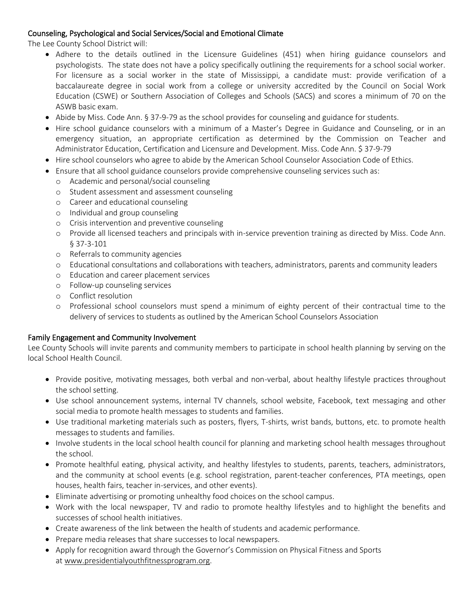### Counseling, Psychological and Social Services/Social and Emotional Climate

The Lee County School District will:

- Adhere to the details outlined in the Licensure Guidelines (451) when hiring guidance counselors and psychologists. The state does not have a policy specifically outlining the requirements for a school social worker. For licensure as a social worker in the state of Mississippi, a candidate must: provide verification of a baccalaureate degree in social work from a college or university accredited by the Council on Social Work Education (CSWE) or Southern Association of Colleges and Schools (SACS) and scores a minimum of 70 on the ASWB basic exam.
- Abide by Miss. Code Ann. § 37-9-79 as the school provides for counseling and guidance for students.
- Hire school guidance counselors with a minimum of a Master's Degree in Guidance and Counseling, or in an emergency situation, an appropriate certification as determined by the Commission on Teacher and Administrator Education, Certification and Licensure and Development. Miss. Code Ann. \$ 37-9-79
- Hire school counselors who agree to abide by the American School Counselor Association Code of Ethics.
- Ensure that all school guidance counselors provide comprehensive counseling services such as:
	- o Academic and personal/social counseling
	- o Student assessment and assessment counseling
	- o Career and educational counseling
	- o Individual and group counseling
	- o Crisis intervention and preventive counseling
	- o Provide all licensed teachers and principals with in-service prevention training as directed by Miss. Code Ann. § 37-3-101
	- o Referrals to community agencies
	- o Educational consultations and collaborations with teachers, administrators, parents and community leaders
	- o Education and career placement services
	- o Follow-up counseling services
	- o Conflict resolution
	- o Professional school counselors must spend a minimum of eighty percent of their contractual time to the delivery of services to students as outlined by the American School Counselors Association

#### Family Engagement and Community Involvement

Lee County Schools will invite parents and community members to participate in school health planning by serving on the local School Health Council.

- Provide positive, motivating messages, both verbal and non-verbal, about healthy lifestyle practices throughout the school setting.
- Use school announcement systems, internal TV channels, school website, Facebook, text messaging and other social media to promote health messages to students and families.
- Use traditional marketing materials such as posters, flyers, T-shirts, wrist bands, buttons, etc. to promote health messages to students and families.
- Involve students in the local school health council for planning and marketing school health messages throughout the school.
- Promote healthful eating, physical activity, and healthy lifestyles to students, parents, teachers, administrators, and the community at school events (e.g. school registration, parent-teacher conferences, PTA meetings, open houses, health fairs, teacher in-services, and other events).
- Eliminate advertising or promoting unhealthy food choices on the school campus.
- Work with the local newspaper, TV and radio to promote healthy lifestyles and to highlight the benefits and successes of school health initiatives.
- Create awareness of the link between the health of students and academic performance.
- Prepare media releases that share successes to local newspapers.
- Apply for recognition award through the Governor's Commission on Physical Fitness and Sports at www.presidentialyouthfitnessprogram.org.